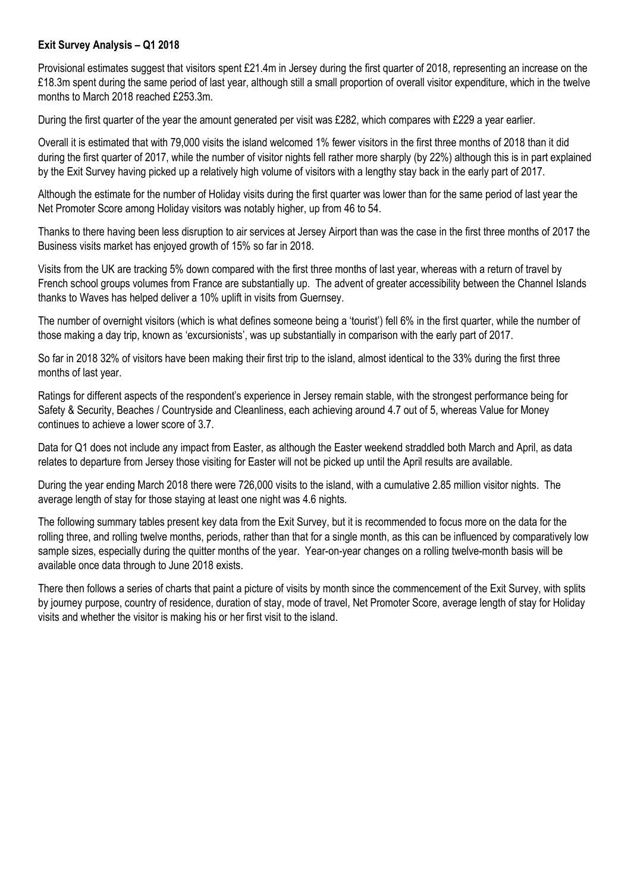## **Exit Survey Analysis – Q1 2018**

Provisional estimates suggest that visitors spent £21.4m in Jersey during the first quarter of 2018, representing an increase on the £18.3m spent during the same period of last year, although still a small proportion of overall visitor expenditure, which in the twelve months to March 2018 reached £253.3m.

During the first quarter of the year the amount generated per visit was £282, which compares with £229 a year earlier.

Overall it is estimated that with 79,000 visits the island welcomed 1% fewer visitors in the first three months of 2018 than it did during the first quarter of 2017, while the number of visitor nights fell rather more sharply (by 22%) although this is in part explained by the Exit Survey having picked up a relatively high volume of visitors with a lengthy stay back in the early part of 2017.

Although the estimate for the number of Holiday visits during the first quarter was lower than for the same period of last year the Net Promoter Score among Holiday visitors was notably higher, up from 46 to 54.

Thanks to there having been less disruption to air services at Jersey Airport than was the case in the first three months of 2017 the Business visits market has enjoyed growth of 15% so far in 2018.

Visits from the UK are tracking 5% down compared with the first three months of last year, whereas with a return of travel by French school groups volumes from France are substantially up. The advent of greater accessibility between the Channel Islands thanks to Waves has helped deliver a 10% uplift in visits from Guernsey.

The number of overnight visitors (which is what defines someone being a 'tourist') fell 6% in the first quarter, while the number of those making a day trip, known as 'excursionists', was up substantially in comparison with the early part of 2017.

So far in 2018 32% of visitors have been making their first trip to the island, almost identical to the 33% during the first three months of last year.

Ratings for different aspects of the respondent's experience in Jersey remain stable, with the strongest performance being for Safety & Security, Beaches / Countryside and Cleanliness, each achieving around 4.7 out of 5, whereas Value for Money continues to achieve a lower score of 3.7.

Data for Q1 does not include any impact from Easter, as although the Easter weekend straddled both March and April, as data relates to departure from Jersey those visiting for Easter will not be picked up until the April results are available.

During the year ending March 2018 there were 726,000 visits to the island, with a cumulative 2.85 million visitor nights. The average length of stay for those staying at least one night was 4.6 nights.

The following summary tables present key data from the Exit Survey, but it is recommended to focus more on the data for the rolling three, and rolling twelve months, periods, rather than that for a single month, as this can be influenced by comparatively low sample sizes, especially during the quitter months of the year. Year-on-year changes on a rolling twelve-month basis will be available once data through to June 2018 exists.

There then follows a series of charts that paint a picture of visits by month since the commencement of the Exit Survey, with splits by journey purpose, country of residence, duration of stay, mode of travel, Net Promoter Score, average length of stay for Holiday visits and whether the visitor is making his or her first visit to the island.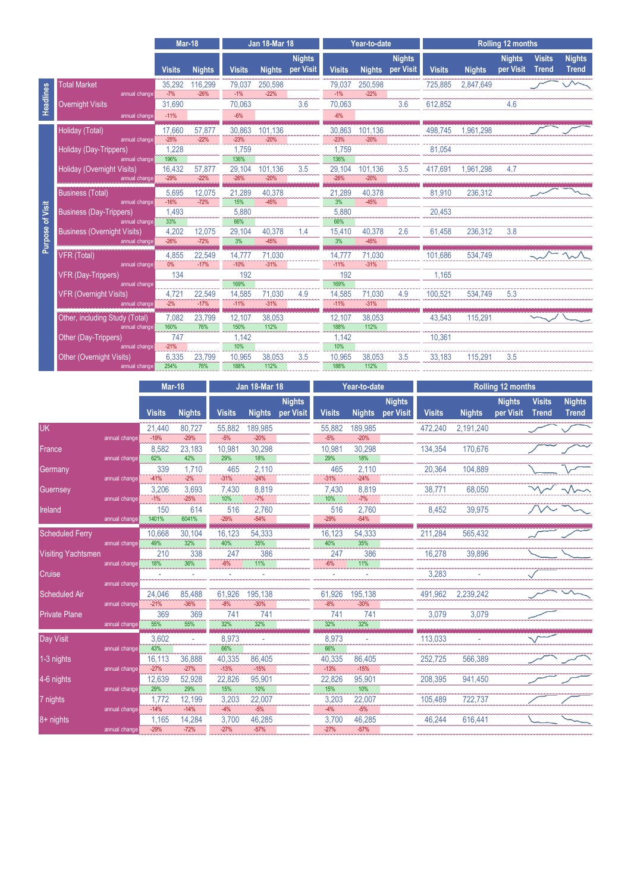|                         |                                                    | <b>Mar-18</b> |               | <b>Jan 18-Mar 18</b> |                |                            | Year-to-date  |                |                            | <b>Rolling 12 months</b> |               |                            |                               |                               |  |
|-------------------------|----------------------------------------------------|---------------|---------------|----------------------|----------------|----------------------------|---------------|----------------|----------------------------|--------------------------|---------------|----------------------------|-------------------------------|-------------------------------|--|
|                         |                                                    | <b>Visits</b> | <b>Nights</b> | <b>Visits</b>        | <b>Nights</b>  | <b>Nights</b><br>per Visit | <b>Visits</b> | <b>Nights</b>  | <b>Nights</b><br>per Visit | <b>Visits</b>            | <b>Nights</b> | <b>Nights</b><br>per Visit | <b>Visits</b><br><b>Trend</b> | <b>Nights</b><br><b>Trend</b> |  |
|                         | <b>Total Market</b>                                | 35,292        | 116,299       | 79,037               | 250,598        |                            | 79.037        | 250,598        |                            | 725,885                  | 2,847,649     |                            |                               |                               |  |
| Headlines               | annual change                                      | $-7%$         | $-26%$        | $-1\%$               | $-22%$         |                            | $-1\%$        | $-22%$         |                            |                          |               |                            |                               |                               |  |
|                         | <b>Overnight Visits</b>                            | 31,690        |               | 70,063               |                | 3.6                        | 70,063        |                | 3.6                        | 612,852                  |               | 4.6                        |                               |                               |  |
|                         | annual change                                      | $-11%$        |               | $-6%$                |                |                            | $-6%$         |                |                            |                          |               |                            |                               |                               |  |
| <b>Purpose of Visit</b> | <b>Holiday (Total)</b>                             | 17,660        | 57,877        | 30,863               | 101,136        |                            | 30,863        | 101,136        |                            | 498.745                  | 1,961,298     |                            |                               |                               |  |
|                         | annual change                                      | $-25%$        | $-22%$        | $-23%$               | $-20%$         |                            | $-23%$        | $-20%$         |                            |                          |               |                            |                               |                               |  |
|                         | Holiday (Day-Trippers)                             | 1.228<br>196% |               | 1.759<br>136%        |                |                            | 1,759<br>136% |                |                            | 81,054                   |               |                            |                               |                               |  |
|                         | annual change<br><b>Holiday (Overnight Visits)</b> | 16,432        | 57,877        | 29,104               | 101,136        | 3.5                        | 29,104        | 101,136        | 3.5                        | 417,691                  | 1,961,298     | 4.7                        |                               |                               |  |
|                         | annual change                                      | $-29%$        | $-22%$        | $-26%$               | $-20%$         |                            | $-26%$        | $-20%$         |                            |                          |               |                            |                               |                               |  |
|                         | <b>Business (Total)</b>                            | 5.695         | 12,075        | 21,289               | 40.378         |                            | 21.289        | 40.378         |                            | 81,910                   | 236,312       |                            |                               |                               |  |
|                         | annual change                                      | $-16%$        | $-72%$        | 15%                  | $-45%$         |                            | 3%            | $-45%$         |                            |                          |               |                            |                               |                               |  |
|                         | <b>Business (Day-Trippers)</b>                     | 1,493         |               | 5,880                |                |                            | 5,880         |                |                            | 20,453                   |               |                            |                               |                               |  |
|                         | annual change                                      | 33%           |               | 66%                  |                |                            | 66%           |                |                            |                          |               |                            |                               |                               |  |
|                         | <b>Business (Overnight Visits)</b>                 | 4,202         | 12,075        | 29.104               | 40.378         | 1.4                        | 15.410        | 40,378         | 2.6                        | 61,458                   | 236,312       | 3.8                        |                               |                               |  |
|                         | annual change                                      | $-26%$        | $-72%$        | 3%                   | $-45%$         |                            | 3%            | $-45%$         |                            |                          |               |                            |                               |                               |  |
|                         | VFR (Total)                                        | 4.855         | 22,549        | 14.777               | 71,030         |                            | 14,777        | 71,030         |                            | 101.686                  | 534.749       |                            |                               |                               |  |
|                         | annual change                                      | 0%            | $-17%$        | $-10%$               | $-31%$         |                            | $-11%$<br>192 | $-31%$         |                            |                          |               |                            |                               |                               |  |
|                         | <b>VFR (Day-Trippers)</b><br>annual change         | 134           |               | 192<br>169%          |                |                            | 169%          |                |                            | 1,165                    |               |                            |                               |                               |  |
|                         | VFR (Overnight Visits)                             | 4.721         | 22,549        | 14,585               | 71,030         | 4.9                        | 14,585        | 71,030         | 4.9                        | 100,521                  | 534,749       | 5.3                        |                               |                               |  |
|                         | annual change                                      | $-2%$         | $-17%$        | $-11%$               | $-31%$         |                            | $-11%$        | $-31%$         |                            |                          |               |                            |                               |                               |  |
|                         | Other, including Study (Total)                     | 7.082         | 23.799        | 12.107               | 38.053         |                            | 12.107        | 38.053         |                            | 43.543                   | 115.291       |                            |                               |                               |  |
|                         | annual change                                      | 160%          | 76%           | 150%                 | 112%           |                            | 188%          | 112%           |                            |                          |               |                            |                               |                               |  |
|                         | Other (Day-Trippers)                               | 747           |               | 1,142                |                |                            | 1,142         |                |                            | 10,361                   |               |                            |                               |                               |  |
|                         | annual change                                      | $-21%$        |               | 10%                  |                |                            | 10%           |                |                            |                          |               |                            |                               |                               |  |
|                         | <b>Other (Overnight Visits)</b>                    | 6.335         | 23,799<br>76% | 10.965               | 38.053<br>112% | 3.5                        | 10.965        | 38,053<br>112% | 3.5                        | 33,183                   | 115,291       | 3.5                        |                               |                               |  |
|                         | annual change                                      | 254%          |               | 188%                 |                |                            | 188%          |                |                            |                          |               |                            |                               |                               |  |

|                           |               | <b>Mar-18</b>            |               | <b>Jan 18-Mar 18</b> |                |                            | Year-to-date             |                          |                            | <b>Rolling 12 months</b> |               |                            |                               |                               |  |
|---------------------------|---------------|--------------------------|---------------|----------------------|----------------|----------------------------|--------------------------|--------------------------|----------------------------|--------------------------|---------------|----------------------------|-------------------------------|-------------------------------|--|
|                           |               | <b>Visits</b>            | <b>Nights</b> | <b>Visits</b>        | <b>Nights</b>  | <b>Nights</b><br>per Visit | <b>Visits</b>            | <b>Nights</b>            | <b>Nights</b><br>per Visit | <b>Visits</b>            | <b>Nights</b> | <b>Nights</b><br>per Visit | <b>Visits</b><br><b>Trend</b> | <b>Nights</b><br><b>Trend</b> |  |
| <b>UK</b>                 |               | 21.440                   | 80.727        | 55.882               | 189.985        |                            | 55.882                   | 189.985                  |                            | 472,240                  | 2.191.240     |                            |                               |                               |  |
|                           | annual change | $-19%$                   | $-29%$        | $-5%$                | $-20%$         |                            | $-5%$                    | $-20%$                   |                            |                          |               |                            |                               |                               |  |
| France                    |               | 8.582                    | 23,183        | 10.981               | 30,298         |                            | 10.981                   | 30,298                   |                            | 134,354                  | 170,676       |                            |                               |                               |  |
|                           | annual change | 62%                      | 42%           | 29%                  | 18%            |                            | 29%                      | 18%                      |                            |                          |               |                            |                               |                               |  |
| Germany                   |               | 339                      | 1,710         | 465                  | 2,110          |                            | 465                      | 2,110                    |                            | 20,364                   | 104,889       |                            |                               |                               |  |
|                           | annual change | $-41%$                   | $-2%$         | $-31%$               | $-24%$         |                            | $-31%$                   | $-24%$                   |                            |                          |               |                            |                               |                               |  |
| Guernsey                  |               | 3,206                    | 3,693         | 7.430                | 8,819          |                            | 7,430                    | 8,819                    |                            | 38,771                   | 68,050        |                            |                               |                               |  |
|                           | annual change | $-1%$                    | $-25%$        | 10%                  | $-7%$          |                            | 10%                      | $-7%$                    |                            |                          |               |                            |                               |                               |  |
| Ireland                   |               | 150                      | 614           | 516                  | 2,760          |                            | 516                      | 2,760                    |                            | 8,452                    | 39,975        |                            |                               |                               |  |
|                           | annual change | 1401%                    | 6041%         | $-29%$               | $-54%$         |                            | $-29%$                   | $-54%$                   |                            |                          |               |                            |                               |                               |  |
| <b>Scheduled Ferry</b>    |               | 10,668                   | 30,104        | 16,123               | 54,333         |                            | 16,123                   | 54,333                   |                            | 211,284                  | 565,432       |                            |                               |                               |  |
|                           | annual change | 49%                      | 32%           | 40%                  | 35%            |                            | 40%                      | 35%                      |                            |                          |               |                            |                               |                               |  |
| <b>Visiting Yachtsmen</b> |               | 210                      | 338           | 247                  | 386            |                            | 247                      | 386                      |                            | 16,278                   | 39,896        |                            |                               |                               |  |
|                           | annual change | 18%                      | 36%           | $-6%$                | 11%            |                            | $-6%$                    | 11%                      |                            |                          |               |                            |                               |                               |  |
| Cruise                    |               | $\overline{\phantom{a}}$ |               | ÷,                   | $\blacksquare$ |                            | $\overline{\phantom{a}}$ | $\overline{\phantom{a}}$ |                            | 3,283                    |               |                            |                               |                               |  |
|                           | annual change |                          |               |                      |                |                            |                          |                          |                            |                          |               |                            |                               |                               |  |
| <b>Scheduled Air</b>      |               | 24.046                   | 85.488        | 61.926               | 195,138        |                            | 61.926                   | 195,138                  |                            | 491,962                  | 2.239.242     |                            |                               |                               |  |
|                           | annual change | $-21%$                   | $-36%$        | $-8%$                | $-30%$         |                            | $-8%$                    | $-30%$                   |                            |                          |               |                            |                               |                               |  |
| <b>Private Plane</b>      |               | 369                      | 369           | 741                  | 741            |                            | 741                      | 741                      |                            | 3,079                    | 3,079         |                            |                               |                               |  |
|                           | annual change | 55%                      | 55%           | 32%                  | 32%            |                            | 32%                      | 32%                      |                            |                          |               |                            |                               |                               |  |
| <b>Day Visit</b>          |               | 3.602                    | ä,            | 8,973                | ä,             |                            | 8,973                    | ÷.                       |                            | 113,033                  |               |                            |                               |                               |  |
|                           | annual change | 43%                      |               | 66%                  |                |                            | 66%                      |                          |                            |                          |               |                            |                               |                               |  |
| 1-3 nights                |               | 16,113                   | 36,888        | 40,335               | 86,405         |                            | 40,335                   | 86,405                   |                            | 252,725                  | 566,389       |                            |                               |                               |  |
|                           | annual change | $-27%$                   | $-27%$        | $-13%$               | $-15%$         |                            | $-13%$                   | $-15%$                   |                            |                          |               |                            |                               |                               |  |
| 4-6 nights                |               | 12.639                   | 52.928        | 22,826               | 95,901         |                            | 22.826                   | 95,901                   |                            | 208,395                  | 941.450       |                            |                               |                               |  |
|                           | annual change | 29%                      | 29%           | 15%                  | 10%            |                            | 15%                      | 10%                      |                            |                          |               |                            |                               |                               |  |
| 7 nights                  |               | 1.772                    | 12,199        | 3,203                | 22,007         |                            | 3,203                    | 22,007                   |                            | 105,489                  | 722,737       |                            |                               |                               |  |
|                           | annual change | $-14%$                   | $-14%$        | $-4%$                | $-5%$          |                            | $-4%$                    | $-5%$                    |                            |                          |               |                            |                               |                               |  |
| 8+ nights                 |               | 1,165                    | 14,284        | 3,700                | 46,285         |                            | 3,700                    | 46,285                   |                            | 46,244                   | 616,441       |                            |                               |                               |  |
|                           | annual change | $-29%$                   | $-72%$        | $-27%$               | $-57%$         |                            | $-27%$                   | $-57%$                   |                            |                          |               |                            |                               |                               |  |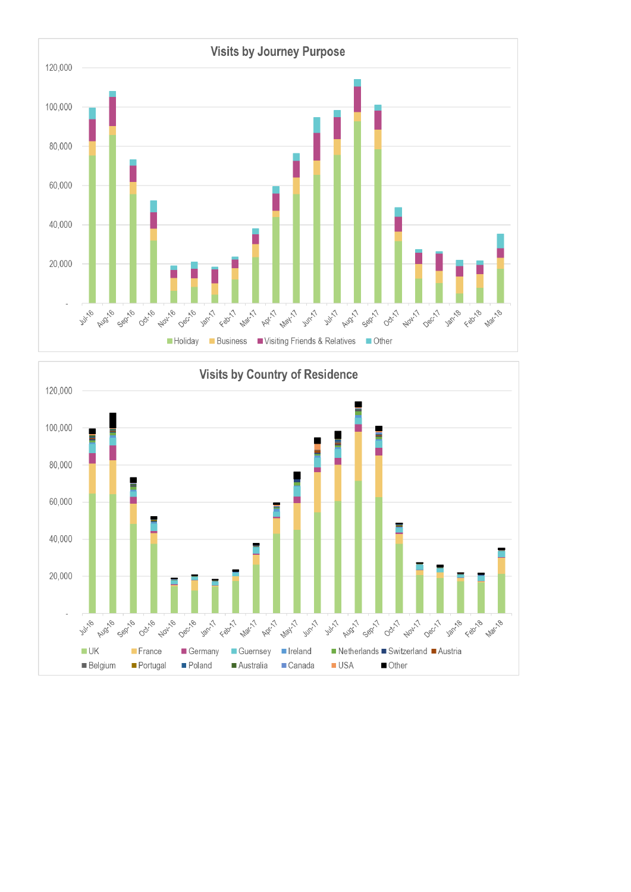

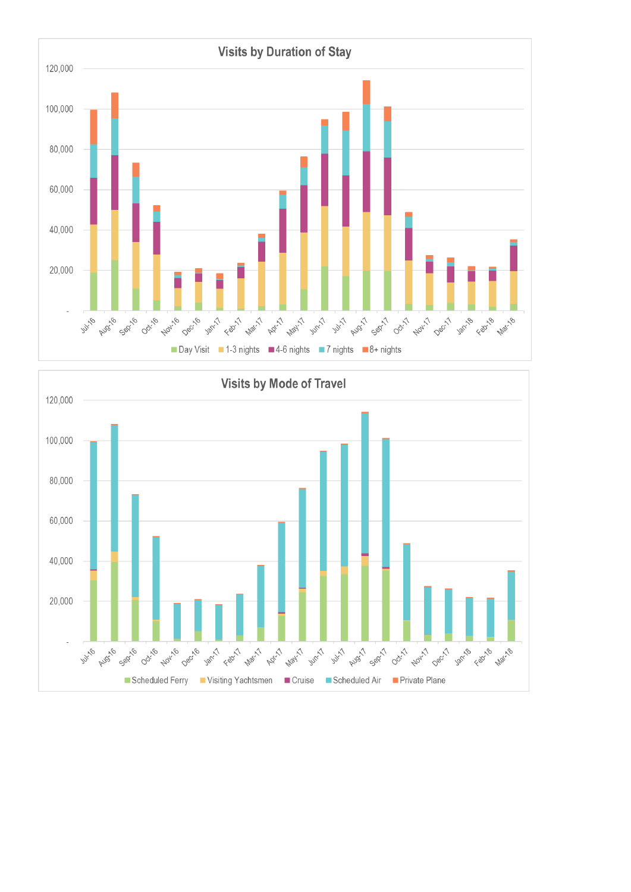

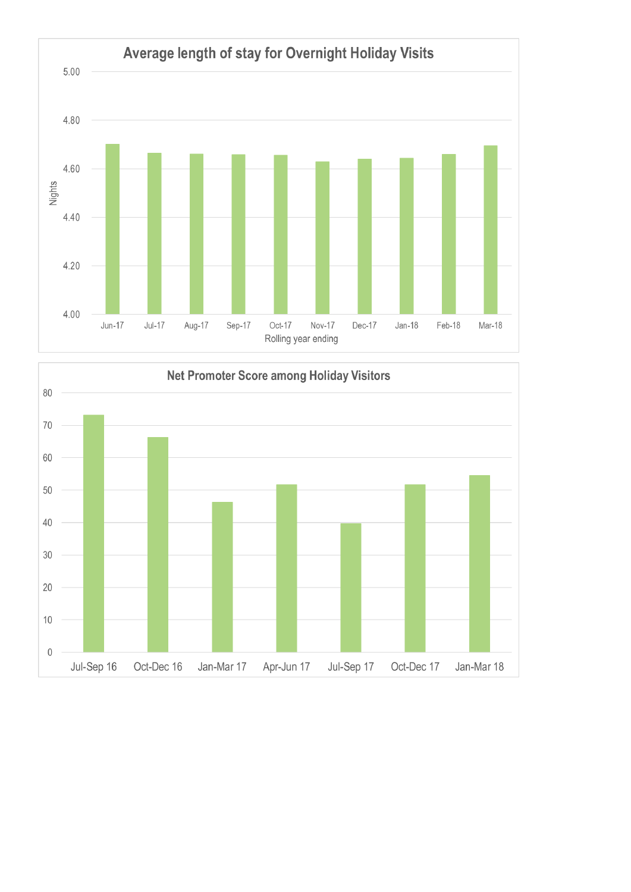